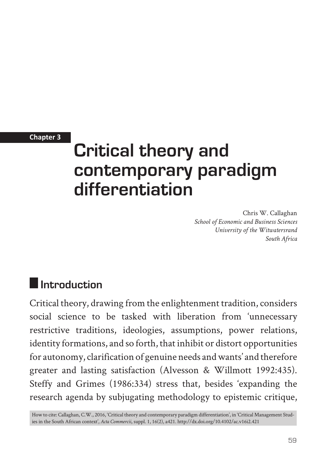#### **Chapter 3**

# **Critical theory and contemporary paradigm differentiation**

Chris W. Callaghan *School of Economic and Business Sciences University of the Witwatersrand South Africa*

#### **Introduction**

Critical theory, drawing from the enlightenment tradition, considers social science to be tasked with liberation from 'unnecessary restrictive traditions, ideologies, assumptions, power relations, identity formations, and so forth, that inhibit or distort opportunities for autonomy, clarification of genuine needs and wants' and therefore greater and lasting satisfaction (Alvesson & Willmott 1992:435). Steffy and Grimes (1986:334) stress that, besides 'expanding the research agenda by subjugating methodology to epistemic critique,

How to cite: Callaghan, C.W., 2016, 'Critical theory and contemporary paradigm differentiation', in 'Critical Management Studies in the South African context', *Acta Commercii*, suppl. 1, 16(2), a421. http://dx.doi.org/10.4102/ac.v16i2.421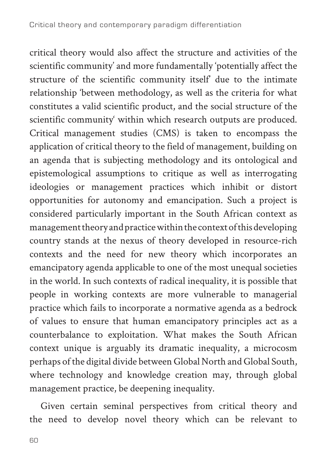critical theory would also affect the structure and activities of the scientific community' and more fundamentally 'potentially affect the structure of the scientific community itself' due to the intimate relationship 'between methodology, as well as the criteria for what constitutes a valid scientific product, and the social structure of the scientific community' within which research outputs are produced. Critical management studies (CMS) is taken to encompass the application of critical theory to the field of management, building on an agenda that is subjecting methodology and its ontological and epistemological assumptions to critique as well as interrogating ideologies or management practices which inhibit or distort opportunities for autonomy and emancipation. Such a project is considered particularly important in the South African context as management theory and practice within the context of this developing country stands at the nexus of theory developed in resource-rich contexts and the need for new theory which incorporates an emancipatory agenda applicable to one of the most unequal societies in the world. In such contexts of radical inequality, it is possible that people in working contexts are more vulnerable to managerial practice which fails to incorporate a normative agenda as a bedrock of values to ensure that human emancipatory principles act as a counterbalance to exploitation. What makes the South African context unique is arguably its dramatic inequality, a microcosm perhaps of the digital divide between Global North and Global South, where technology and knowledge creation may, through global management practice, be deepening inequality.

Given certain seminal perspectives from critical theory and the need to develop novel theory which can be relevant to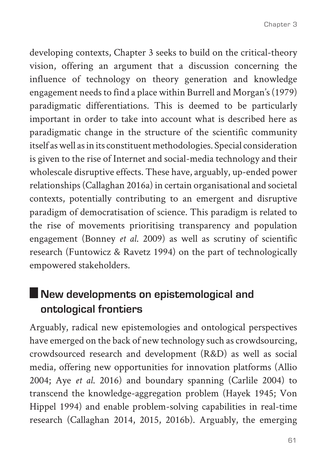developing contexts, Chapter 3 seeks to build on the critical-theory vision, offering an argument that a discussion concerning the influence of technology on theory generation and knowledge engagement needs to find a place within Burrell and Morgan's (1979) paradigmatic differentiations. This is deemed to be particularly important in order to take into account what is described here as paradigmatic change in the structure of the scientific community itself as well as in its constituent methodologies. Special consideration is given to the rise of Internet and social-media technology and their wholescale disruptive effects. These have, arguably, up-ended power relationships (Callaghan 2016a) in certain organisational and societal contexts, potentially contributing to an emergent and disruptive paradigm of democratisation of science. This paradigm is related to the rise of movements prioritising transparency and population engagement (Bonney *et al*. 2009) as well as scrutiny of scientific research (Funtowicz & Ravetz 1994) on the part of technologically empowered stakeholders.

# **New developments on epistemological and ontological frontiers**

Arguably, radical new epistemologies and ontological perspectives have emerged on the back of new technology such as crowdsourcing, crowdsourced research and development (R&D) as well as social media, offering new opportunities for innovation platforms (Allio 2004; Aye *et al*. 2016) and boundary spanning (Carlile 2004) to transcend the knowledge-aggregation problem (Hayek 1945; Von Hippel 1994) and enable problem-solving capabilities in real-time research (Callaghan 2014, 2015, 2016b). Arguably, the emerging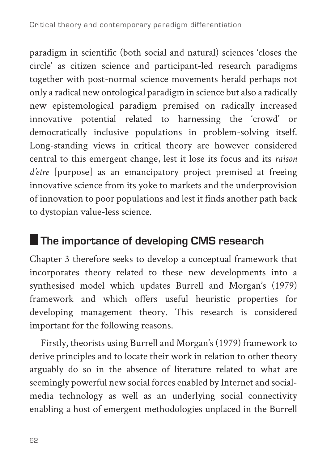paradigm in scientific (both social and natural) sciences 'closes the circle' as citizen science and participant-led research paradigms together with post-normal science movements herald perhaps not only a radical new ontological paradigm in science but also a radically new epistemological paradigm premised on radically increased innovative potential related to harnessing the 'crowd' or democratically inclusive populations in problem-solving itself. Long-standing views in critical theory are however considered central to this emergent change, lest it lose its focus and its *raison d'etre* [purpose] as an emancipatory project premised at freeing innovative science from its yoke to markets and the underprovision of innovation to poor populations and lest it finds another path back to dystopian value-less science.

### **The importance of developing CMS research**

Chapter 3 therefore seeks to develop a conceptual framework that incorporates theory related to these new developments into a synthesised model which updates Burrell and Morgan's (1979) framework and which offers useful heuristic properties for developing management theory. This research is considered important for the following reasons.

Firstly, theorists using Burrell and Morgan's (1979) framework to derive principles and to locate their work in relation to other theory arguably do so in the absence of literature related to what are seemingly powerful new social forces enabled by Internet and socialmedia technology as well as an underlying social connectivity enabling a host of emergent methodologies unplaced in the Burrell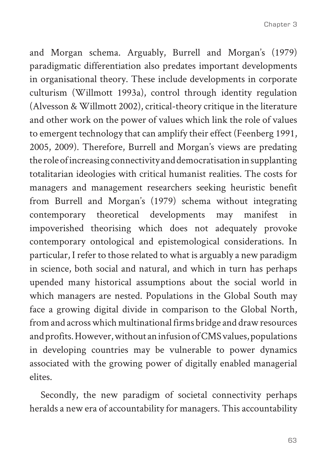and Morgan schema. Arguably, Burrell and Morgan's (1979) paradigmatic differentiation also predates important developments in organisational theory. These include developments in corporate culturism (Willmott 1993a), control through identity regulation (Alvesson & Willmott 2002), critical-theory critique in the literature and other work on the power of values which link the role of values to emergent technology that can amplify their effect (Feenberg 1991, 2005, 2009). Therefore, Burrell and Morgan's views are predating the role of increasing connectivity and democratisation in supplanting totalitarian ideologies with critical humanist realities. The costs for managers and management researchers seeking heuristic benefit from Burrell and Morgan's (1979) schema without integrating contemporary theoretical developments may manifest in impoverished theorising which does not adequately provoke contemporary ontological and epistemological considerations. In particular, I refer to those related to what is arguably a new paradigm in science, both social and natural, and which in turn has perhaps upended many historical assumptions about the social world in which managers are nested. Populations in the Global South may face a growing digital divide in comparison to the Global North, from and across which multinational firms bridge and draw resources and profits. However, without an infusion of CMS values, populations in developing countries may be vulnerable to power dynamics associated with the growing power of digitally enabled managerial elites.

Secondly, the new paradigm of societal connectivity perhaps heralds a new era of accountability for managers. This accountability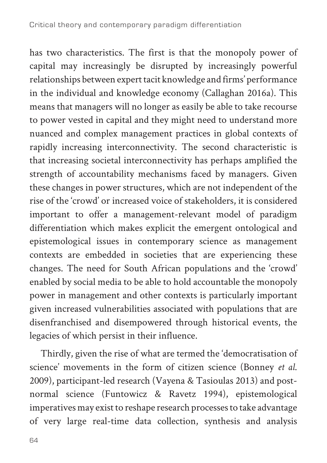has two characteristics. The first is that the monopoly power of capital may increasingly be disrupted by increasingly powerful relationships between expert tacit knowledge and firms' performance in the individual and knowledge economy (Callaghan 2016a). This means that managers will no longer as easily be able to take recourse to power vested in capital and they might need to understand more nuanced and complex management practices in global contexts of rapidly increasing interconnectivity. The second characteristic is that increasing societal interconnectivity has perhaps amplified the strength of accountability mechanisms faced by managers. Given these changes in power structures, which are not independent of the rise of the 'crowd' or increased voice of stakeholders, it is considered important to offer a management-relevant model of paradigm differentiation which makes explicit the emergent ontological and epistemological issues in contemporary science as management contexts are embedded in societies that are experiencing these changes. The need for South African populations and the 'crowd' enabled by social media to be able to hold accountable the monopoly power in management and other contexts is particularly important given increased vulnerabilities associated with populations that are disenfranchised and disempowered through historical events, the legacies of which persist in their influence.

Thirdly, given the rise of what are termed the 'democratisation of science' movements in the form of citizen science (Bonney *et al*. 2009), participant-led research (Vayena & Tasioulas 2013) and postnormal science (Funtowicz & Ravetz 1994), epistemological imperatives may exist to reshape research processes to take advantage of very large real-time data collection, synthesis and analysis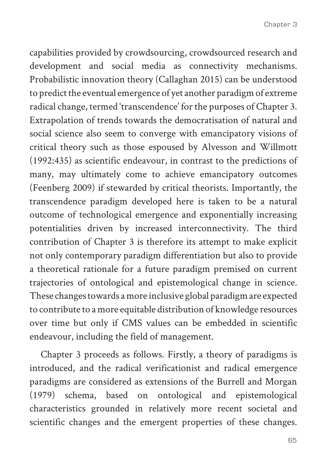capabilities provided by crowdsourcing, crowdsourced research and development and social media as connectivity mechanisms. Probabilistic innovation theory (Callaghan 2015) can be understood to predict the eventual emergence of yet another paradigm of extreme radical change, termed 'transcendence' for the purposes of Chapter 3. Extrapolation of trends towards the democratisation of natural and social science also seem to converge with emancipatory visions of critical theory such as those espoused by Alvesson and Willmott (1992:435) as scientific endeavour, in contrast to the predictions of many, may ultimately come to achieve emancipatory outcomes (Feenberg 2009) if stewarded by critical theorists. Importantly, the transcendence paradigm developed here is taken to be a natural outcome of technological emergence and exponentially increasing potentialities driven by increased interconnectivity. The third contribution of Chapter 3 is therefore its attempt to make explicit not only contemporary paradigm differentiation but also to provide a theoretical rationale for a future paradigm premised on current trajectories of ontological and epistemological change in science. These changes towards a more inclusive global paradigm are expected to contribute to a more equitable distribution of knowledge resources over time but only if CMS values can be embedded in scientific endeavour, including the field of management.

Chapter 3 proceeds as follows. Firstly, a theory of paradigms is introduced, and the radical verificationist and radical emergence paradigms are considered as extensions of the Burrell and Morgan (1979) schema, based on ontological and epistemological characteristics grounded in relatively more recent societal and scientific changes and the emergent properties of these changes.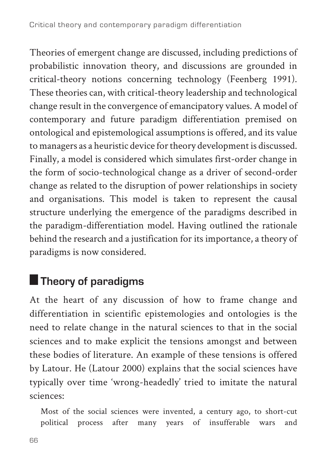Theories of emergent change are discussed, including predictions of probabilistic innovation theory, and discussions are grounded in critical-theory notions concerning technology (Feenberg 1991). These theories can, with critical-theory leadership and technological change result in the convergence of emancipatory values. A model of contemporary and future paradigm differentiation premised on ontological and epistemological assumptions is offered, and its value to managers as a heuristic device for theory development is discussed. Finally, a model is considered which simulates first-order change in the form of socio-technological change as a driver of second-order change as related to the disruption of power relationships in society and organisations. This model is taken to represent the causal structure underlying the emergence of the paradigms described in the paradigm-differentiation model. Having outlined the rationale behind the research and a justification for its importance, a theory of paradigms is now considered.

# **Theory of paradigms**

At the heart of any discussion of how to frame change and differentiation in scientific epistemologies and ontologies is the need to relate change in the natural sciences to that in the social sciences and to make explicit the tensions amongst and between these bodies of literature. An example of these tensions is offered by Latour. He (Latour 2000) explains that the social sciences have typically over time 'wrong-headedly' tried to imitate the natural sciences:

Most of the social sciences were invented, a century ago, to short-cut political process after many years of insufferable wars and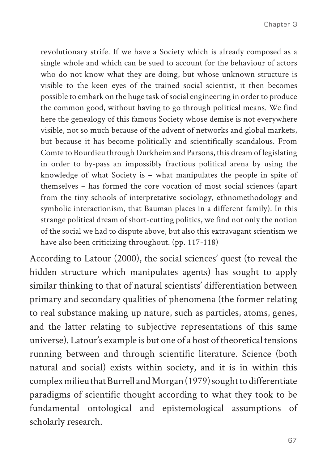revolutionary strife. If we have a Society which is already composed as a single whole and which can be sued to account for the behaviour of actors who do not know what they are doing, but whose unknown structure is visible to the keen eyes of the trained social scientist, it then becomes possible to embark on the huge task of social engineering in order to produce the common good, without having to go through political means. We find here the genealogy of this famous Society whose demise is not everywhere visible, not so much because of the advent of networks and global markets, but because it has become politically and scientifically scandalous. From Comte to Bourdieu through Durkheim and Parsons, this dream of legislating in order to by-pass an impossibly fractious political arena by using the knowledge of what Society is – what manipulates the people in spite of themselves – has formed the core vocation of most social sciences (apart from the tiny schools of interpretative sociology, ethnomethodology and symbolic interactionism, that Bauman places in a different family). In this strange political dream of short-cutting politics, we find not only the notion of the social we had to dispute above, but also this extravagant scientism we have also been criticizing throughout. (pp. 117-118)

According to Latour (2000), the social sciences' quest (to reveal the hidden structure which manipulates agents) has sought to apply similar thinking to that of natural scientists' differentiation between primary and secondary qualities of phenomena (the former relating to real substance making up nature, such as particles, atoms, genes, and the latter relating to subjective representations of this same universe). Latour's example is but one of a host of theoretical tensions running between and through scientific literature. Science (both natural and social) exists within society, and it is in within this complex milieu that Burrell and Morgan (1979) sought to differentiate paradigms of scientific thought according to what they took to be fundamental ontological and epistemological assumptions of scholarly research.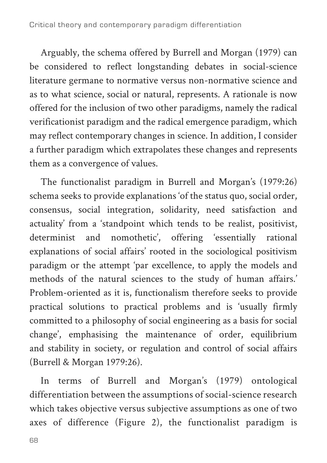Arguably, the schema offered by Burrell and Morgan (1979) can be considered to reflect longstanding debates in social-science literature germane to normative versus non-normative science and as to what science, social or natural, represents. A rationale is now offered for the inclusion of two other paradigms, namely the radical verificationist paradigm and the radical emergence paradigm, which may reflect contemporary changes in science. In addition, I consider a further paradigm which extrapolates these changes and represents them as a convergence of values.

The functionalist paradigm in Burrell and Morgan's (1979:26) schema seeks to provide explanations 'of the status quo, social order, consensus, social integration, solidarity, need satisfaction and actuality' from a 'standpoint which tends to be realist, positivist, determinist and nomothetic', offering 'essentially rational explanations of social affairs' rooted in the sociological positivism paradigm or the attempt 'par excellence, to apply the models and methods of the natural sciences to the study of human affairs.' Problem-oriented as it is, functionalism therefore seeks to provide practical solutions to practical problems and is 'usually firmly committed to a philosophy of social engineering as a basis for social change', emphasising the maintenance of order, equilibrium and stability in society, or regulation and control of social affairs (Burrell & Morgan 1979:26).

In terms of Burrell and Morgan's (1979) ontological differentiation between the assumptions of social-science research which takes objective versus subjective assumptions as one of two axes of difference (Figure 2), the functionalist paradigm is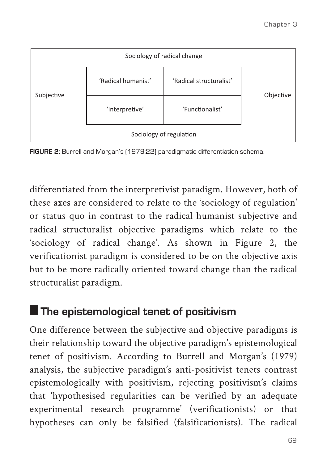

**Figure 2:** Burrell and Morgan's (1979:22) paradigmatic differentiation schema.

differentiated from the interpretivist paradigm. However, both of these axes are considered to relate to the 'sociology of regulation' or status quo in contrast to the radical humanist subjective and radical structuralist objective paradigms which relate to the 'sociology of radical change'. As shown in Figure 2, the verificationist paradigm is considered to be on the objective axis but to be more radically oriented toward change than the radical structuralist paradigm.

# **The epistemological tenet of positivism**

One difference between the subjective and objective paradigms is their relationship toward the objective paradigm's epistemological tenet of positivism. According to Burrell and Morgan's (1979) analysis, the subjective paradigm's anti-positivist tenets contrast epistemologically with positivism, rejecting positivism's claims that 'hypothesised regularities can be verified by an adequate experimental research programme' (verificationists) or that hypotheses can only be falsified (falsificationists). The radical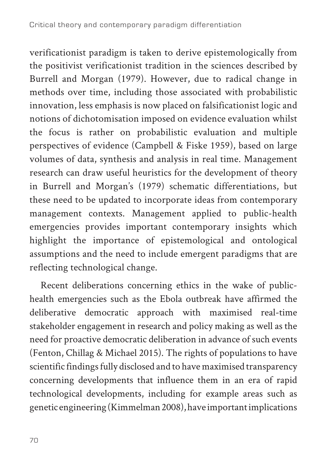verificationist paradigm is taken to derive epistemologically from the positivist verificationist tradition in the sciences described by Burrell and Morgan (1979). However, due to radical change in methods over time, including those associated with probabilistic innovation, less emphasis is now placed on falsificationist logic and notions of dichotomisation imposed on evidence evaluation whilst the focus is rather on probabilistic evaluation and multiple perspectives of evidence (Campbell & Fiske 1959), based on large volumes of data, synthesis and analysis in real time. Management research can draw useful heuristics for the development of theory in Burrell and Morgan's (1979) schematic differentiations, but these need to be updated to incorporate ideas from contemporary management contexts. Management applied to public-health emergencies provides important contemporary insights which highlight the importance of epistemological and ontological assumptions and the need to include emergent paradigms that are reflecting technological change.

Recent deliberations concerning ethics in the wake of publichealth emergencies such as the Ebola outbreak have affirmed the deliberative democratic approach with maximised real-time stakeholder engagement in research and policy making as well as the need for proactive democratic deliberation in advance of such events (Fenton, Chillag & Michael 2015). The rights of populations to have scientific findings fully disclosed and to have maximised transparency concerning developments that influence them in an era of rapid technological developments, including for example areas such as genetic engineering (Kimmelman 2008), have important implications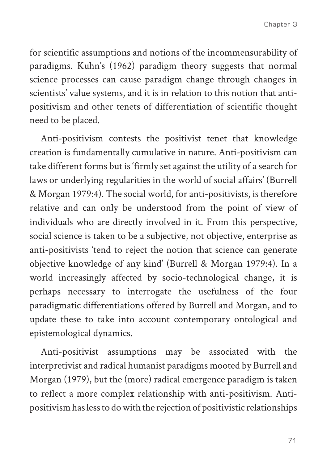for scientific assumptions and notions of the incommensurability of paradigms. Kuhn's (1962) paradigm theory suggests that normal science processes can cause paradigm change through changes in scientists' value systems, and it is in relation to this notion that antipositivism and other tenets of differentiation of scientific thought need to be placed.

Anti-positivism contests the positivist tenet that knowledge creation is fundamentally cumulative in nature. Anti-positivism can take different forms but is 'firmly set against the utility of a search for laws or underlying regularities in the world of social affairs' (Burrell & Morgan 1979:4). The social world, for anti-positivists, is therefore relative and can only be understood from the point of view of individuals who are directly involved in it. From this perspective, social science is taken to be a subjective, not objective, enterprise as anti-positivists 'tend to reject the notion that science can generate objective knowledge of any kind' (Burrell & Morgan 1979:4). In a world increasingly affected by socio-technological change, it is perhaps necessary to interrogate the usefulness of the four paradigmatic differentiations offered by Burrell and Morgan, and to update these to take into account contemporary ontological and epistemological dynamics.

Anti-positivist assumptions may be associated with the interpretivist and radical humanist paradigms mooted by Burrell and Morgan (1979), but the (more) radical emergence paradigm is taken to reflect a more complex relationship with anti-positivism. Antipositivism has less to do with the rejection of positivistic relationships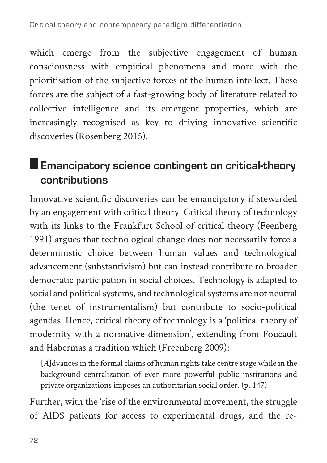which emerge from the subjective engagement of human consciousness with empirical phenomena and more with the prioritisation of the subjective forces of the human intellect. These forces are the subject of a fast-growing body of literature related to collective intelligence and its emergent properties, which are increasingly recognised as key to driving innovative scientific discoveries (Rosenberg 2015).

# **Emancipatory science contingent on critical-theory contributions**

Innovative scientific discoveries can be emancipatory if stewarded by an engagement with critical theory. Critical theory of technology with its links to the Frankfurt School of critical theory (Feenberg 1991) argues that technological change does not necessarily force a deterministic choice between human values and technological advancement (substantivism) but can instead contribute to broader democratic participation in social choices. Technology is adapted to social and political systems, and technological systems are not neutral (the tenet of instrumentalism) but contribute to socio-political agendas. Hence, critical theory of technology is a 'political theory of modernity with a normative dimension', extending from Foucault and Habermas a tradition which (Freenberg 2009):

[*A*]dvances in the formal claims of human rights take centre stage while in the background centralization of ever more powerful public institutions and private organizations imposes an authoritarian social order. (p. 147)

Further, with the 'rise of the environmental movement, the struggle of AIDS patients for access to experimental drugs, and the re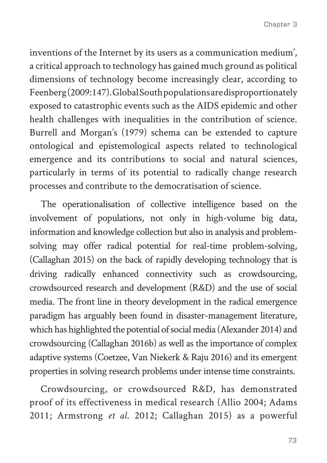inventions of the Internet by its users as a communication medium', a critical approach to technology has gained much ground as political dimensions of technology become increasingly clear, according to Feenberg (2009:147). Global South populations are disproportionately exposed to catastrophic events such as the AIDS epidemic and other health challenges with inequalities in the contribution of science. Burrell and Morgan's (1979) schema can be extended to capture ontological and epistemological aspects related to technological emergence and its contributions to social and natural sciences, particularly in terms of its potential to radically change research processes and contribute to the democratisation of science.

The operationalisation of collective intelligence based on the involvement of populations, not only in high-volume big data, information and knowledge collection but also in analysis and problemsolving may offer radical potential for real-time problem-solving, (Callaghan 2015) on the back of rapidly developing technology that is driving radically enhanced connectivity such as crowdsourcing, crowdsourced research and development (R&D) and the use of social media. The front line in theory development in the radical emergence paradigm has arguably been found in disaster-management literature, which has highlighted the potential of social media (Alexander 2014) and crowdsourcing (Callaghan 2016b) as well as the importance of complex adaptive systems (Coetzee, Van Niekerk & Raju 2016) and its emergent properties in solving research problems under intense time constraints.

Crowdsourcing, or crowdsourced R&D, has demonstrated proof of its effectiveness in medical research (Allio 2004; Adams 2011; Armstrong *et al*. 2012; Callaghan 2015) as a powerful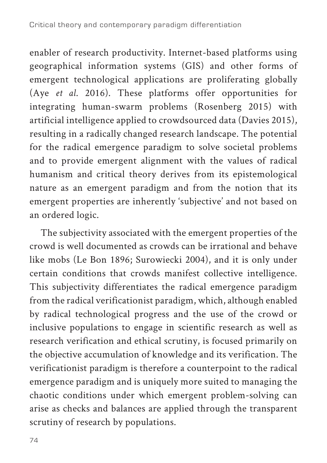enabler of research productivity. Internet-based platforms using geographical information systems (GIS) and other forms of emergent technological applications are proliferating globally (Aye *et al*. 2016). These platforms offer opportunities for integrating human-swarm problems (Rosenberg 2015) with artificial intelligence applied to crowdsourced data (Davies 2015), resulting in a radically changed research landscape. The potential for the radical emergence paradigm to solve societal problems and to provide emergent alignment with the values of radical humanism and critical theory derives from its epistemological nature as an emergent paradigm and from the notion that its emergent properties are inherently 'subjective' and not based on an ordered logic.

The subjectivity associated with the emergent properties of the crowd is well documented as crowds can be irrational and behave like mobs (Le Bon 1896; Surowiecki 2004), and it is only under certain conditions that crowds manifest collective intelligence. This subjectivity differentiates the radical emergence paradigm from the radical verificationist paradigm, which, although enabled by radical technological progress and the use of the crowd or inclusive populations to engage in scientific research as well as research verification and ethical scrutiny, is focused primarily on the objective accumulation of knowledge and its verification. The verificationist paradigm is therefore a counterpoint to the radical emergence paradigm and is uniquely more suited to managing the chaotic conditions under which emergent problem-solving can arise as checks and balances are applied through the transparent scrutiny of research by populations.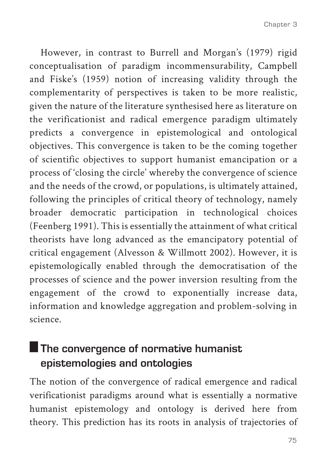However, in contrast to Burrell and Morgan's (1979) rigid conceptualisation of paradigm incommensurability, Campbell and Fiske's (1959) notion of increasing validity through the complementarity of perspectives is taken to be more realistic, given the nature of the literature synthesised here as literature on the verificationist and radical emergence paradigm ultimately predicts a convergence in epistemological and ontological objectives. This convergence is taken to be the coming together of scientific objectives to support humanist emancipation or a process of 'closing the circle' whereby the convergence of science and the needs of the crowd, or populations, is ultimately attained, following the principles of critical theory of technology, namely broader democratic participation in technological choices (Feenberg 1991). This is essentially the attainment of what critical theorists have long advanced as the emancipatory potential of critical engagement (Alvesson & Willmott 2002). However, it is epistemologically enabled through the democratisation of the processes of science and the power inversion resulting from the engagement of the crowd to exponentially increase data, information and knowledge aggregation and problem-solving in science.

# **The convergence of normative humanist epistemologies and ontologies**

The notion of the convergence of radical emergence and radical verificationist paradigms around what is essentially a normative humanist epistemology and ontology is derived here from theory. This prediction has its roots in analysis of trajectories of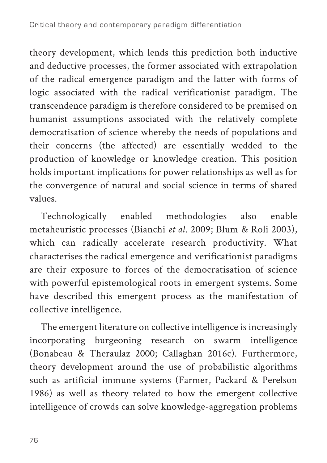theory development, which lends this prediction both inductive and deductive processes, the former associated with extrapolation of the radical emergence paradigm and the latter with forms of logic associated with the radical verificationist paradigm. The transcendence paradigm is therefore considered to be premised on humanist assumptions associated with the relatively complete democratisation of science whereby the needs of populations and their concerns (the affected) are essentially wedded to the production of knowledge or knowledge creation. This position holds important implications for power relationships as well as for the convergence of natural and social science in terms of shared values.

Technologically enabled methodologies also enable metaheuristic processes (Bianchi *et al*. 2009; Blum & Roli 2003), which can radically accelerate research productivity. What characterises the radical emergence and verificationist paradigms are their exposure to forces of the democratisation of science with powerful epistemological roots in emergent systems. Some have described this emergent process as the manifestation of collective intelligence.

The emergent literature on collective intelligence is increasingly incorporating burgeoning research on swarm intelligence (Bonabeau & Theraulaz 2000; Callaghan 2016c). Furthermore, theory development around the use of probabilistic algorithms such as artificial immune systems (Farmer, Packard & Perelson 1986) as well as theory related to how the emergent collective intelligence of crowds can solve knowledge-aggregation problems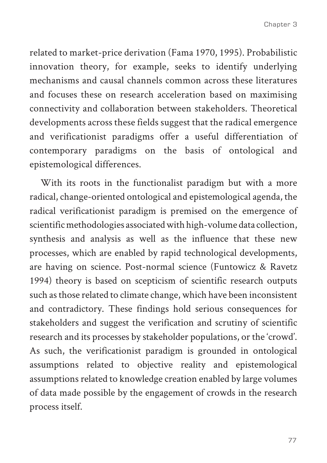related to market-price derivation (Fama 1970, 1995). Probabilistic innovation theory, for example, seeks to identify underlying mechanisms and causal channels common across these literatures and focuses these on research acceleration based on maximising connectivity and collaboration between stakeholders. Theoretical developments across these fields suggest that the radical emergence and verificationist paradigms offer a useful differentiation of contemporary paradigms on the basis of ontological and epistemological differences.

With its roots in the functionalist paradigm but with a more radical, change-oriented ontological and epistemological agenda, the radical verificationist paradigm is premised on the emergence of scientific methodologies associated with high-volume data collection, synthesis and analysis as well as the influence that these new processes, which are enabled by rapid technological developments, are having on science. Post-normal science (Funtowicz & Ravetz 1994) theory is based on scepticism of scientific research outputs such as those related to climate change, which have been inconsistent and contradictory. These findings hold serious consequences for stakeholders and suggest the verification and scrutiny of scientific research and its processes by stakeholder populations, or the 'crowd'. As such, the verificationist paradigm is grounded in ontological assumptions related to objective reality and epistemological assumptions related to knowledge creation enabled by large volumes of data made possible by the engagement of crowds in the research process itself.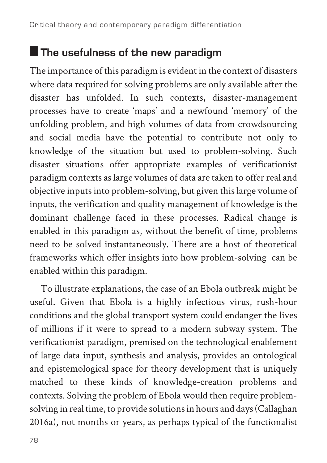## **The usefulness of the new paradigm**

The importance of this paradigm is evident in the context of disasters where data required for solving problems are only available after the disaster has unfolded. In such contexts, disaster-management processes have to create 'maps' and a newfound 'memory' of the unfolding problem, and high volumes of data from crowdsourcing and social media have the potential to contribute not only to knowledge of the situation but used to problem-solving. Such disaster situations offer appropriate examples of verificationist paradigm contexts as large volumes of data are taken to offer real and objective inputs into problem-solving, but given this large volume of inputs, the verification and quality management of knowledge is the dominant challenge faced in these processes. Radical change is enabled in this paradigm as, without the benefit of time, problems need to be solved instantaneously. There are a host of theoretical frameworks which offer insights into how problem-solving can be enabled within this paradigm.

To illustrate explanations, the case of an Ebola outbreak might be useful. Given that Ebola is a highly infectious virus, rush-hour conditions and the global transport system could endanger the lives of millions if it were to spread to a modern subway system. The verificationist paradigm, premised on the technological enablement of large data input, synthesis and analysis, provides an ontological and epistemological space for theory development that is uniquely matched to these kinds of knowledge-creation problems and contexts. Solving the problem of Ebola would then require problemsolving in real time, to provide solutions in hours and days (Callaghan 2016a), not months or years, as perhaps typical of the functionalist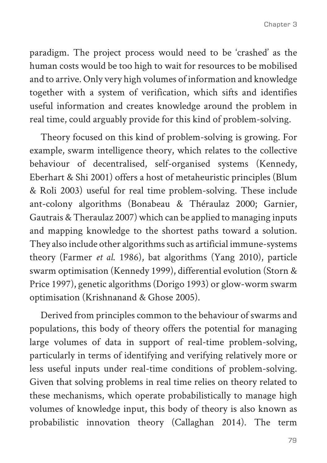paradigm. The project process would need to be 'crashed' as the human costs would be too high to wait for resources to be mobilised and to arrive. Only very high volumes of information and knowledge together with a system of verification, which sifts and identifies useful information and creates knowledge around the problem in real time, could arguably provide for this kind of problem-solving.

Theory focused on this kind of problem-solving is growing. For example, swarm intelligence theory, which relates to the collective behaviour of decentralised, self-organised systems (Kennedy, Eberhart & Shi 2001) offers a host of metaheuristic principles (Blum & Roli 2003) useful for real time problem-solving. These include ant-colony algorithms (Bonabeau & Théraulaz 2000; Garnier, Gautrais & Theraulaz 2007) which can be applied to managing inputs and mapping knowledge to the shortest paths toward a solution. They also include other algorithms such as artificial immune-systems theory (Farmer *et al*. 1986), bat algorithms (Yang 2010), particle swarm optimisation (Kennedy 1999), differential evolution (Storn & Price 1997), genetic algorithms (Dorigo 1993) or glow-worm swarm optimisation (Krishnanand & Ghose 2005).

Derived from principles common to the behaviour of swarms and populations, this body of theory offers the potential for managing large volumes of data in support of real-time problem-solving, particularly in terms of identifying and verifying relatively more or less useful inputs under real-time conditions of problem-solving. Given that solving problems in real time relies on theory related to these mechanisms, which operate probabilistically to manage high volumes of knowledge input, this body of theory is also known as probabilistic innovation theory (Callaghan 2014). The term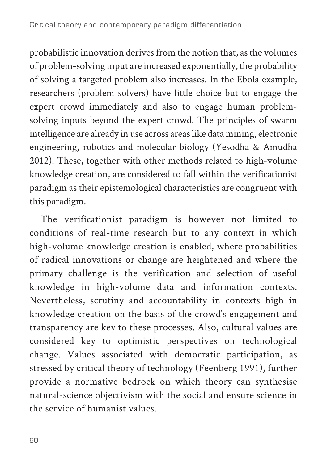probabilistic innovation derives from the notion that, as the volumes of problem-solving input are increased exponentially, the probability of solving a targeted problem also increases. In the Ebola example, researchers (problem solvers) have little choice but to engage the expert crowd immediately and also to engage human problemsolving inputs beyond the expert crowd. The principles of swarm intelligence are already in use across areas like data mining, electronic engineering, robotics and molecular biology (Yesodha & Amudha 2012). These, together with other methods related to high-volume knowledge creation, are considered to fall within the verificationist paradigm as their epistemological characteristics are congruent with this paradigm.

The verificationist paradigm is however not limited to conditions of real-time research but to any context in which high-volume knowledge creation is enabled, where probabilities of radical innovations or change are heightened and where the primary challenge is the verification and selection of useful knowledge in high-volume data and information contexts. Nevertheless, scrutiny and accountability in contexts high in knowledge creation on the basis of the crowd's engagement and transparency are key to these processes. Also, cultural values are considered key to optimistic perspectives on technological change. Values associated with democratic participation, as stressed by critical theory of technology (Feenberg 1991), further provide a normative bedrock on which theory can synthesise natural-science objectivism with the social and ensure science in the service of humanist values.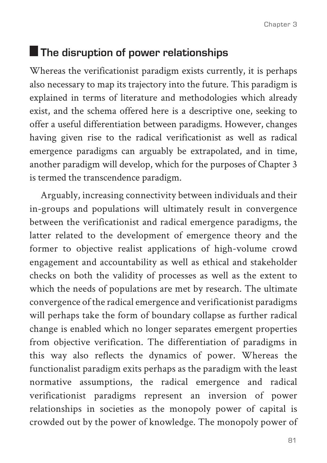#### **The disruption of power relationships**

Whereas the verificationist paradigm exists currently, it is perhaps also necessary to map its trajectory into the future. This paradigm is explained in terms of literature and methodologies which already exist, and the schema offered here is a descriptive one, seeking to offer a useful differentiation between paradigms. However, changes having given rise to the radical verificationist as well as radical emergence paradigms can arguably be extrapolated, and in time, another paradigm will develop, which for the purposes of Chapter 3 is termed the transcendence paradigm.

Arguably, increasing connectivity between individuals and their in-groups and populations will ultimately result in convergence between the verificationist and radical emergence paradigms, the latter related to the development of emergence theory and the former to objective realist applications of high-volume crowd engagement and accountability as well as ethical and stakeholder checks on both the validity of processes as well as the extent to which the needs of populations are met by research. The ultimate convergence of the radical emergence and verificationist paradigms will perhaps take the form of boundary collapse as further radical change is enabled which no longer separates emergent properties from objective verification. The differentiation of paradigms in this way also reflects the dynamics of power. Whereas the functionalist paradigm exits perhaps as the paradigm with the least normative assumptions, the radical emergence and radical verificationist paradigms represent an inversion of power relationships in societies as the monopoly power of capital is crowded out by the power of knowledge. The monopoly power of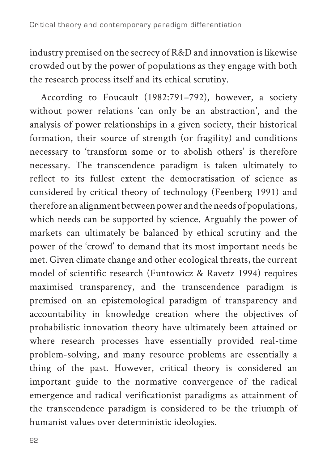industry premised on the secrecy of R&D and innovation is likewise crowded out by the power of populations as they engage with both the research process itself and its ethical scrutiny.

According to Foucault (1982:791–792), however, a society without power relations 'can only be an abstraction', and the analysis of power relationships in a given society, their historical formation, their source of strength (or fragility) and conditions necessary to 'transform some or to abolish others' is therefore necessary. The transcendence paradigm is taken ultimately to reflect to its fullest extent the democratisation of science as considered by critical theory of technology (Feenberg 1991) and therefore an alignment between power and the needs of populations, which needs can be supported by science. Arguably the power of markets can ultimately be balanced by ethical scrutiny and the power of the 'crowd' to demand that its most important needs be met. Given climate change and other ecological threats, the current model of scientific research (Funtowicz & Ravetz 1994) requires maximised transparency, and the transcendence paradigm is premised on an epistemological paradigm of transparency and accountability in knowledge creation where the objectives of probabilistic innovation theory have ultimately been attained or where research processes have essentially provided real-time problem-solving, and many resource problems are essentially a thing of the past. However, critical theory is considered an important guide to the normative convergence of the radical emergence and radical verificationist paradigms as attainment of the transcendence paradigm is considered to be the triumph of humanist values over deterministic ideologies.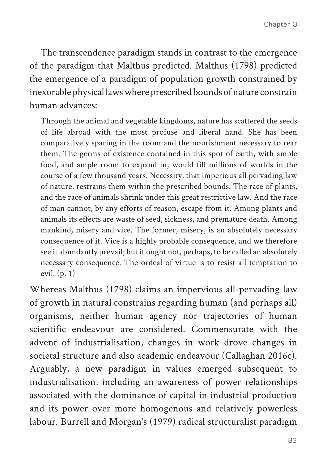The transcendence paradigm stands in contrast to the emergence of the paradigm that Malthus predicted. Malthus (1798) predicted the emergence of a paradigm of population growth constrained by inexorable physical laws where prescribed bounds of nature constrain human advances:

Through the animal and vegetable kingdoms, nature has scattered the seeds of life abroad with the most profuse and liberal hand. She has been comparatively sparing in the room and the nourishment necessary to rear them. The germs of existence contained in this spot of earth, with ample food, and ample room to expand in, would fill millions of worlds in the course of a few thousand years. Necessity, that imperious all pervading law of nature, restrains them within the prescribed bounds. The race of plants, and the race of animals shrink under this great restrictive law. And the race of man cannot, by any efforts of reason, escape from it. Among plants and animals its effects are waste of seed, sickness, and premature death. Among mankind, misery and vice. The former, misery, is an absolutely necessary consequence of it. Vice is a highly probable consequence, and we therefore see it abundantly prevail; but it ought not, perhaps, to be called an absolutely necessary consequence. The ordeal of virtue is to resist all temptation to evil. (p. 1)

Whereas Malthus (1798) claims an impervious all-pervading law of growth in natural constrains regarding human (and perhaps all) organisms, neither human agency nor trajectories of human scientific endeavour are considered. Commensurate with the advent of industrialisation, changes in work drove changes in societal structure and also academic endeavour (Callaghan 2016c). Arguably, a new paradigm in values emerged subsequent to industrialisation, including an awareness of power relationships associated with the dominance of capital in industrial production and its power over more homogenous and relatively powerless labour. Burrell and Morgan's (1979) radical structuralist paradigm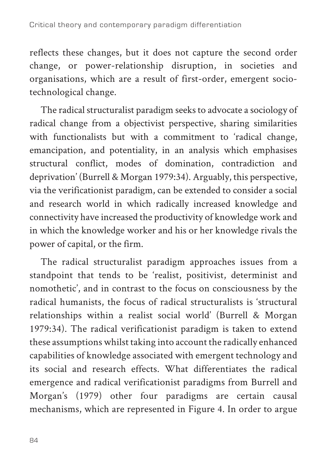reflects these changes, but it does not capture the second order change, or power-relationship disruption, in societies and organisations, which are a result of first-order, emergent sociotechnological change.

The radical structuralist paradigm seeks to advocate a sociology of radical change from a objectivist perspective, sharing similarities with functionalists but with a commitment to 'radical change, emancipation, and potentiality, in an analysis which emphasises structural conflict, modes of domination, contradiction and deprivation' (Burrell & Morgan 1979:34). Arguably, this perspective, via the verificationist paradigm, can be extended to consider a social and research world in which radically increased knowledge and connectivity have increased the productivity of knowledge work and in which the knowledge worker and his or her knowledge rivals the power of capital, or the firm.

The radical structuralist paradigm approaches issues from a standpoint that tends to be 'realist, positivist, determinist and nomothetic', and in contrast to the focus on consciousness by the radical humanists, the focus of radical structuralists is 'structural relationships within a realist social world' (Burrell & Morgan 1979:34). The radical verificationist paradigm is taken to extend these assumptions whilst taking into account the radically enhanced capabilities of knowledge associated with emergent technology and its social and research effects. What differentiates the radical emergence and radical verificationist paradigms from Burrell and Morgan's (1979) other four paradigms are certain causal mechanisms, which are represented in Figure 4. In order to argue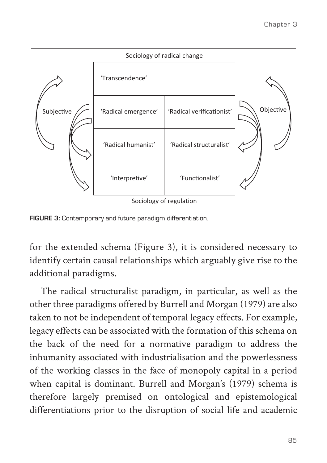

**FIGURE 3:** Contemporary and future paradigm differentiation.

for the extended schema (Figure 3), it is considered necessary to identify certain causal relationships which arguably give rise to the additional paradigms.

The radical structuralist paradigm, in particular, as well as the other three paradigms offered by Burrell and Morgan (1979) are also taken to not be independent of temporal legacy effects. For example, legacy effects can be associated with the formation of this schema on the back of the need for a normative paradigm to address the inhumanity associated with industrialisation and the powerlessness of the working classes in the face of monopoly capital in a period when capital is dominant. Burrell and Morgan's (1979) schema is therefore largely premised on ontological and epistemological differentiations prior to the disruption of social life and academic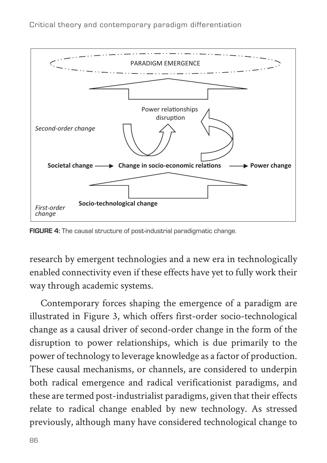Critical theory and contemporary paradigm differentiation



**FIGURE 4:** The causal structure of post-industrial paradigmatic change.

research by emergent technologies and a new era in technologically enabled connectivity even if these effects have yet to fully work their way through academic systems.

Contemporary forces shaping the emergence of a paradigm are illustrated in Figure 3, which offers first-order socio-technological change as a causal driver of second-order change in the form of the disruption to power relationships, which is due primarily to the power of technology to leverage knowledge as a factor of production. These causal mechanisms, or channels, are considered to underpin both radical emergence and radical verificationist paradigms, and these are termed post-industrialist paradigms, given that their effects relate to radical change enabled by new technology. As stressed previously, although many have considered technological change to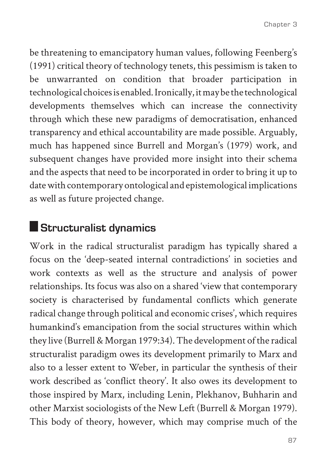be threatening to emancipatory human values, following Feenberg's (1991) critical theory of technology tenets, this pessimism is taken to be unwarranted on condition that broader participation in technological choices is enabled. Ironically, it may be the technological developments themselves which can increase the connectivity through which these new paradigms of democratisation, enhanced transparency and ethical accountability are made possible. Arguably, much has happened since Burrell and Morgan's (1979) work, and subsequent changes have provided more insight into their schema and the aspects that need to be incorporated in order to bring it up to date with contemporary ontological and epistemological implications as well as future projected change.

## **Structuralist dynamics**

Work in the radical structuralist paradigm has typically shared a focus on the 'deep-seated internal contradictions' in societies and work contexts as well as the structure and analysis of power relationships. Its focus was also on a shared 'view that contemporary society is characterised by fundamental conflicts which generate radical change through political and economic crises', which requires humankind's emancipation from the social structures within which they live (Burrell & Morgan 1979:34). The development of the radical structuralist paradigm owes its development primarily to Marx and also to a lesser extent to Weber, in particular the synthesis of their work described as 'conflict theory'. It also owes its development to those inspired by Marx, including Lenin, Plekhanov, Buhharin and other Marxist sociologists of the New Left (Burrell & Morgan 1979). This body of theory, however, which may comprise much of the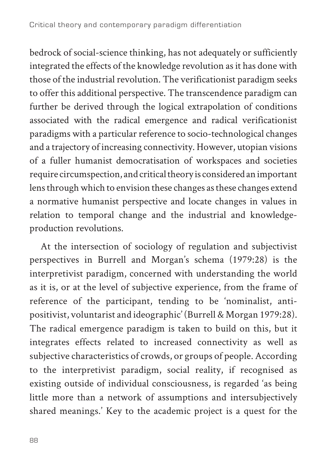bedrock of social-science thinking, has not adequately or sufficiently integrated the effects of the knowledge revolution as it has done with those of the industrial revolution. The verificationist paradigm seeks to offer this additional perspective. The transcendence paradigm can further be derived through the logical extrapolation of conditions associated with the radical emergence and radical verificationist paradigms with a particular reference to socio-technological changes and a trajectory of increasing connectivity. However, utopian visions of a fuller humanist democratisation of workspaces and societies require circumspection, and critical theory is considered an important lens through which to envision these changes as these changes extend a normative humanist perspective and locate changes in values in relation to temporal change and the industrial and knowledgeproduction revolutions.

At the intersection of sociology of regulation and subjectivist perspectives in Burrell and Morgan's schema (1979:28) is the interpretivist paradigm, concerned with understanding the world as it is, or at the level of subjective experience, from the frame of reference of the participant, tending to be 'nominalist, antipositivist, voluntarist and ideographic' (Burrell & Morgan 1979:28). The radical emergence paradigm is taken to build on this, but it integrates effects related to increased connectivity as well as subjective characteristics of crowds, or groups of people. According to the interpretivist paradigm, social reality, if recognised as existing outside of individual consciousness, is regarded 'as being little more than a network of assumptions and intersubjectively shared meanings.' Key to the academic project is a quest for the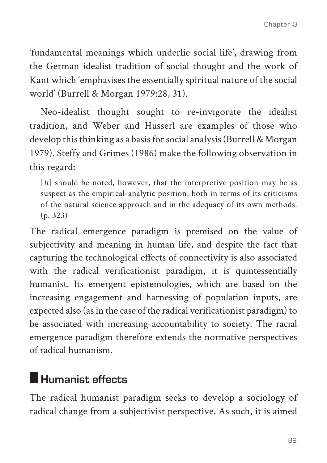'fundamental meanings which underlie social life', drawing from the German idealist tradition of social thought and the work of Kant which 'emphasises the essentially spiritual nature of the social world' (Burrell & Morgan 1979:28, 31).

Neo-idealist thought sought to re-invigorate the idealist tradition, and Weber and Husserl are examples of those who develop this thinking as a basis for social analysis (Burrell & Morgan 1979). Steffy and Grimes (1986) make the following observation in this regard:

[*It*] should be noted, however, that the interpretive position may be as suspect as the empirical-analytic position, both in terms of its criticisms of the natural science approach and in the adequacy of its own methods. (p. 323)

The radical emergence paradigm is premised on the value of subjectivity and meaning in human life, and despite the fact that capturing the technological effects of connectivity is also associated with the radical verificationist paradigm, it is quintessentially humanist. Its emergent epistemologies, which are based on the increasing engagement and harnessing of population inputs, are expected also (as in the case of the radical verificationist paradigm) to be associated with increasing accountability to society. The racial emergence paradigm therefore extends the normative perspectives of radical humanism.

# **Humanist effects**

The radical humanist paradigm seeks to develop a sociology of radical change from a subjectivist perspective. As such, it is aimed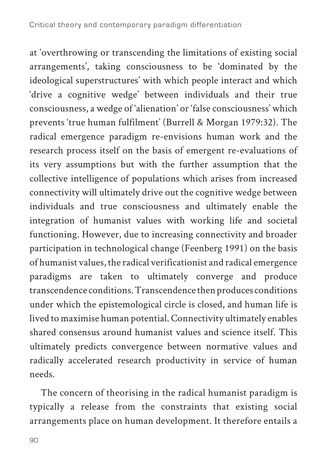at 'overthrowing or transcending the limitations of existing social arrangements', taking consciousness to be 'dominated by the ideological superstructures' with which people interact and which 'drive a cognitive wedge' between individuals and their true consciousness, a wedge of 'alienation' or 'false consciousness' which prevents 'true human fulfilment' (Burrell & Morgan 1979:32). The radical emergence paradigm re-envisions human work and the research process itself on the basis of emergent re-evaluations of its very assumptions but with the further assumption that the collective intelligence of populations which arises from increased connectivity will ultimately drive out the cognitive wedge between individuals and true consciousness and ultimately enable the integration of humanist values with working life and societal functioning. However, due to increasing connectivity and broader participation in technological change (Feenberg 1991) on the basis of humanist values, the radical verificationist and radical emergence paradigms are taken to ultimately converge and produce transcendence conditions. Transcendence then produces conditions under which the epistemological circle is closed, and human life is lived to maximise human potential. Connectivity ultimately enables shared consensus around humanist values and science itself. This ultimately predicts convergence between normative values and radically accelerated research productivity in service of human needs.

The concern of theorising in the radical humanist paradigm is typically a release from the constraints that existing social arrangements place on human development. It therefore entails a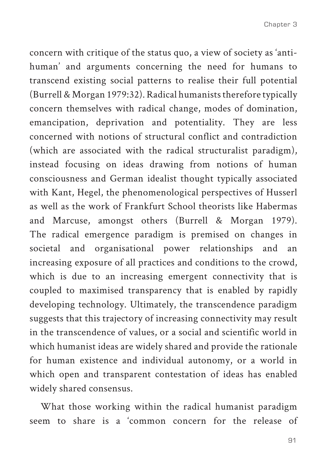concern with critique of the status quo, a view of society as 'antihuman' and arguments concerning the need for humans to transcend existing social patterns to realise their full potential (Burrell & Morgan 1979:32). Radical humanists therefore typically concern themselves with radical change, modes of domination, emancipation, deprivation and potentiality. They are less concerned with notions of structural conflict and contradiction (which are associated with the radical structuralist paradigm), instead focusing on ideas drawing from notions of human consciousness and German idealist thought typically associated with Kant, Hegel, the phenomenological perspectives of Husserl as well as the work of Frankfurt School theorists like Habermas and Marcuse, amongst others (Burrell & Morgan 1979). The radical emergence paradigm is premised on changes in societal and organisational power relationships and an increasing exposure of all practices and conditions to the crowd, which is due to an increasing emergent connectivity that is coupled to maximised transparency that is enabled by rapidly developing technology. Ultimately, the transcendence paradigm suggests that this trajectory of increasing connectivity may result in the transcendence of values, or a social and scientific world in which humanist ideas are widely shared and provide the rationale for human existence and individual autonomy, or a world in which open and transparent contestation of ideas has enabled widely shared consensus.

What those working within the radical humanist paradigm seem to share is a 'common concern for the release of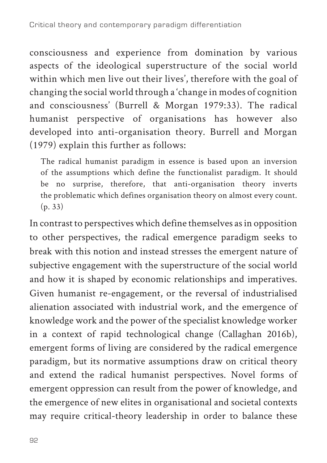consciousness and experience from domination by various aspects of the ideological superstructure of the social world within which men live out their lives', therefore with the goal of changing the social world through a 'change in modes of cognition and consciousness' (Burrell & Morgan 1979:33). The radical humanist perspective of organisations has however also developed into anti-organisation theory. Burrell and Morgan (1979) explain this further as follows:

The radical humanist paradigm in essence is based upon an inversion of the assumptions which define the functionalist paradigm. It should be no surprise, therefore, that anti-organisation theory inverts the problematic which defines organisation theory on almost every count. (p. 33)

In contrast to perspectives which define themselves as in opposition to other perspectives, the radical emergence paradigm seeks to break with this notion and instead stresses the emergent nature of subjective engagement with the superstructure of the social world and how it is shaped by economic relationships and imperatives. Given humanist re-engagement, or the reversal of industrialised alienation associated with industrial work, and the emergence of knowledge work and the power of the specialist knowledge worker in a context of rapid technological change (Callaghan 2016b), emergent forms of living are considered by the radical emergence paradigm, but its normative assumptions draw on critical theory and extend the radical humanist perspectives. Novel forms of emergent oppression can result from the power of knowledge, and the emergence of new elites in organisational and societal contexts may require critical-theory leadership in order to balance these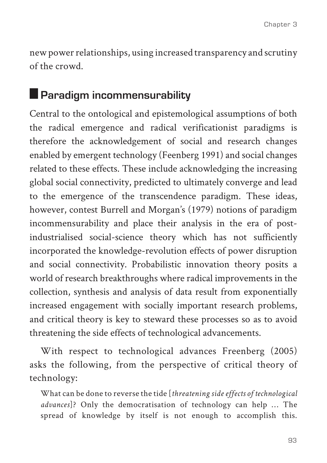new power relationships, using increased transparency and scrutiny of the crowd.

# **Paradigm incommensurability**

Central to the ontological and epistemological assumptions of both the radical emergence and radical verificationist paradigms is therefore the acknowledgement of social and research changes enabled by emergent technology (Feenberg 1991) and social changes related to these effects. These include acknowledging the increasing global social connectivity, predicted to ultimately converge and lead to the emergence of the transcendence paradigm. These ideas, however, contest Burrell and Morgan's (1979) notions of paradigm incommensurability and place their analysis in the era of postindustrialised social-science theory which has not sufficiently incorporated the knowledge-revolution effects of power disruption and social connectivity. Probabilistic innovation theory posits a world of research breakthroughs where radical improvements in the collection, synthesis and analysis of data result from exponentially increased engagement with socially important research problems, and critical theory is key to steward these processes so as to avoid threatening the side effects of technological advancements.

With respect to technological advances Freenberg (2005) asks the following, from the perspective of critical theory of technology:

What can be done to reverse the tide [*threatening side effects of technological advances*]? Only the democratisation of technology can help … The spread of knowledge by itself is not enough to accomplish this.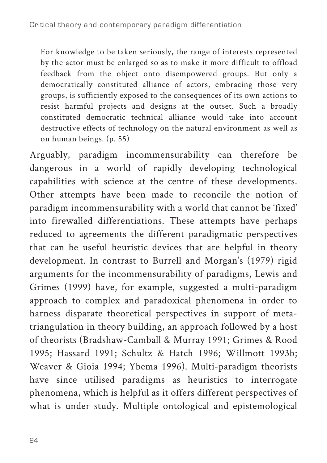For knowledge to be taken seriously, the range of interests represented by the actor must be enlarged so as to make it more difficult to offload feedback from the object onto disempowered groups. But only a democratically constituted alliance of actors, embracing those very groups, is sufficiently exposed to the consequences of its own actions to resist harmful projects and designs at the outset. Such a broadly constituted democratic technical alliance would take into account destructive effects of technology on the natural environment as well as on human beings. (p. 55)

Arguably, paradigm incommensurability can therefore be dangerous in a world of rapidly developing technological capabilities with science at the centre of these developments. Other attempts have been made to reconcile the notion of paradigm incommensurability with a world that cannot be 'fixed' into firewalled differentiations. These attempts have perhaps reduced to agreements the different paradigmatic perspectives that can be useful heuristic devices that are helpful in theory development. In contrast to Burrell and Morgan's (1979) rigid arguments for the incommensurability of paradigms, Lewis and Grimes (1999) have, for example, suggested a multi-paradigm approach to complex and paradoxical phenomena in order to harness disparate theoretical perspectives in support of metatriangulation in theory building, an approach followed by a host of theorists (Bradshaw-Camball & Murray 1991; Grimes & Rood 1995; Hassard 1991; Schultz & Hatch 1996; Willmott 1993b; Weaver & Gioia 1994; Ybema 1996). Multi-paradigm theorists have since utilised paradigms as heuristics to interrogate phenomena, which is helpful as it offers different perspectives of what is under study. Multiple ontological and epistemological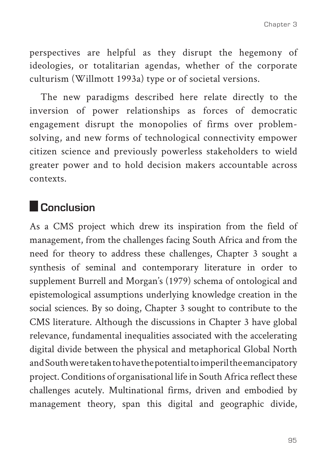perspectives are helpful as they disrupt the hegemony of ideologies, or totalitarian agendas, whether of the corporate culturism (Willmott 1993a) type or of societal versions.

The new paradigms described here relate directly to the inversion of power relationships as forces of democratic engagement disrupt the monopolies of firms over problemsolving, and new forms of technological connectivity empower citizen science and previously powerless stakeholders to wield greater power and to hold decision makers accountable across contexts.

### **Conclusion**

As a CMS project which drew its inspiration from the field of management, from the challenges facing South Africa and from the need for theory to address these challenges, Chapter 3 sought a synthesis of seminal and contemporary literature in order to supplement Burrell and Morgan's (1979) schema of ontological and epistemological assumptions underlying knowledge creation in the social sciences. By so doing, Chapter 3 sought to contribute to the CMS literature. Although the discussions in Chapter 3 have global relevance, fundamental inequalities associated with the accelerating digital divide between the physical and metaphorical Global North and South were taken to have the potential to imperil the emancipatory project. Conditions of organisational life in South Africa reflect these challenges acutely. Multinational firms, driven and embodied by management theory, span this digital and geographic divide,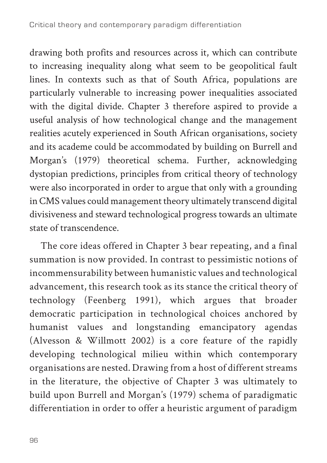drawing both profits and resources across it, which can contribute to increasing inequality along what seem to be geopolitical fault lines. In contexts such as that of South Africa, populations are particularly vulnerable to increasing power inequalities associated with the digital divide. Chapter 3 therefore aspired to provide a useful analysis of how technological change and the management realities acutely experienced in South African organisations, society and its academe could be accommodated by building on Burrell and Morgan's (1979) theoretical schema. Further, acknowledging dystopian predictions, principles from critical theory of technology were also incorporated in order to argue that only with a grounding in CMS values could management theory ultimately transcend digital divisiveness and steward technological progress towards an ultimate state of transcendence.

The core ideas offered in Chapter 3 bear repeating, and a final summation is now provided. In contrast to pessimistic notions of incommensurability between humanistic values and technological advancement, this research took as its stance the critical theory of technology (Feenberg 1991), which argues that broader democratic participation in technological choices anchored by humanist values and longstanding emancipatory agendas (Alvesson & Willmott 2002) is a core feature of the rapidly developing technological milieu within which contemporary organisations are nested. Drawing from a host of different streams in the literature, the objective of Chapter 3 was ultimately to build upon Burrell and Morgan's (1979) schema of paradigmatic differentiation in order to offer a heuristic argument of paradigm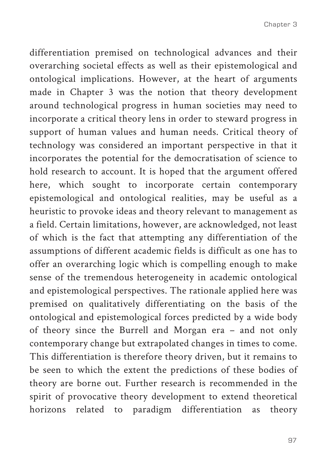differentiation premised on technological advances and their overarching societal effects as well as their epistemological and ontological implications. However, at the heart of arguments made in Chapter 3 was the notion that theory development around technological progress in human societies may need to incorporate a critical theory lens in order to steward progress in support of human values and human needs. Critical theory of technology was considered an important perspective in that it incorporates the potential for the democratisation of science to hold research to account. It is hoped that the argument offered here, which sought to incorporate certain contemporary epistemological and ontological realities, may be useful as a heuristic to provoke ideas and theory relevant to management as a field. Certain limitations, however, are acknowledged, not least of which is the fact that attempting any differentiation of the assumptions of different academic fields is difficult as one has to offer an overarching logic which is compelling enough to make sense of the tremendous heterogeneity in academic ontological and epistemological perspectives. The rationale applied here was premised on qualitatively differentiating on the basis of the ontological and epistemological forces predicted by a wide body of theory since the Burrell and Morgan era – and not only contemporary change but extrapolated changes in times to come. This differentiation is therefore theory driven, but it remains to be seen to which the extent the predictions of these bodies of theory are borne out. Further research is recommended in the spirit of provocative theory development to extend theoretical horizons related to paradigm differentiation as theory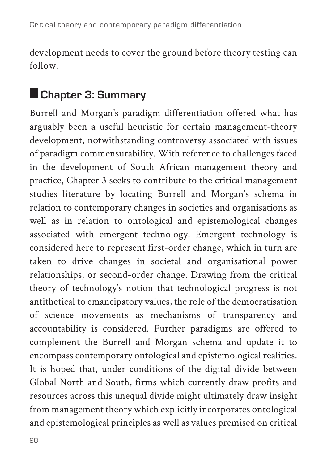development needs to cover the ground before theory testing can follow.

# **Chapter 3: Summary**

Burrell and Morgan's paradigm differentiation offered what has arguably been a useful heuristic for certain management-theory development, notwithstanding controversy associated with issues of paradigm commensurability. With reference to challenges faced in the development of South African management theory and practice, Chapter 3 seeks to contribute to the critical management studies literature by locating Burrell and Morgan's schema in relation to contemporary changes in societies and organisations as well as in relation to ontological and epistemological changes associated with emergent technology. Emergent technology is considered here to represent first-order change, which in turn are taken to drive changes in societal and organisational power relationships, or second-order change. Drawing from the critical theory of technology's notion that technological progress is not antithetical to emancipatory values, the role of the democratisation of science movements as mechanisms of transparency and accountability is considered. Further paradigms are offered to complement the Burrell and Morgan schema and update it to encompass contemporary ontological and epistemological realities. It is hoped that, under conditions of the digital divide between Global North and South, firms which currently draw profits and resources across this unequal divide might ultimately draw insight from management theory which explicitly incorporates ontological and epistemological principles as well as values premised on critical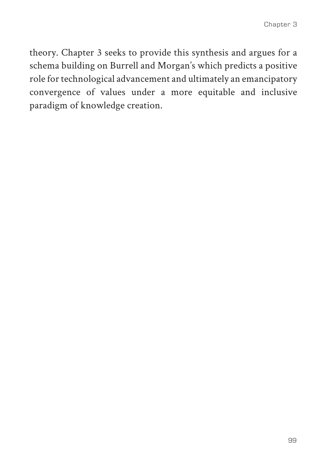theory. Chapter 3 seeks to provide this synthesis and argues for a schema building on Burrell and Morgan's which predicts a positive role for technological advancement and ultimately an emancipatory convergence of values under a more equitable and inclusive paradigm of knowledge creation.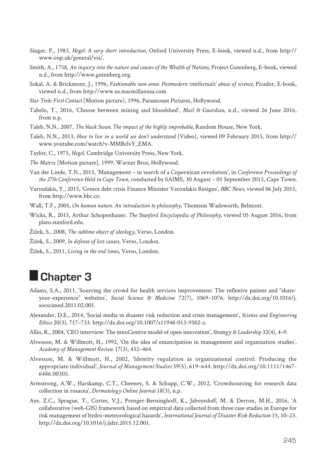# **Chapter 3**

- Adams, S.A., 2011, 'Sourcing the crowd for health services improvement: The reflexive patient and "shareyour-experience" websites', *Social Science & Medicine* 72(7), 1069–1076. http://dx.doi.org/10.1016/j. socscimed.2011.02.001.
- Alexander, D.E., 2014, 'Social media in disaster risk reduction and crisis management', *Science and Engineering Ethics* 20(3), 717–733. http://dx.doi.org/10.1007/s11948-013-9502-z.
- Allio, R., 2004, 'CEO interview: The innoCentive model of open innovation', *Strategy & Leadership* 32(4), 4–9.
- Alvesson, M. & Willmott, H., 1992, 'On the idea of emancipation in management and organization studies', *Academy of Management Review* 17(3), 432–464.
- Alvesson, M. & Willmott, H., 2002, 'Identity regulation as organizational control: Producing the appropriate individual', *Journal of Management Studies* 39(5), 619–644. http://dx.doi.org/10.1111/1467- 6486.00305.
- Armstrong, A.W., Harskamp, C.T., Cheeney, S. & Schupp, C.W., 2012, 'Crowdsourcing for research data collection in rosacea', *Dermatology Online Journal* 18(3), n.p.
- Aye, Z.C., Sprague, T., Cortes, V.J., Prenger-Berninghoff, K., Jaboyedoff, M. & Derron, M.H., 2016, 'A collaborative (web-GIS) framework based on empirical data collected from three case studies in Europe for risk management of hydro-meteorological hazards', *International Journal of Disaster Risk Reduction* 15, 10–23. http://dx.doi.org/10.1016/j.ijdrr.2015.12.001.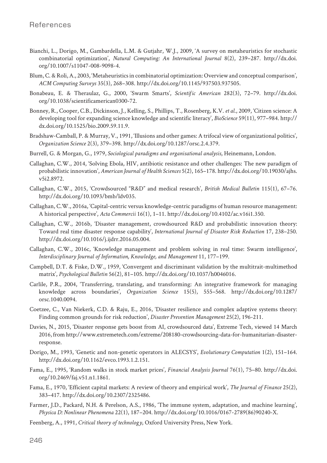- Bianchi, L., Dorigo, M., Gambardella, L.M. & Gutjahr, W.J., 2009, 'A survey on metaheuristics for stochastic combinatorial optimization', *Natural Computing: An International Journal* 8(2), 239–287. http://dx.doi. org/10.1007/s11047-008-9098-4.
- Blum, C. & Roli, A., 2003, 'Metaheuristics in combinatorial optimization: Overview and conceptual comparison', *ACM Computing Surveys* 35(3), 268–308. http://dx.doi.org/10.1145/937503.937505.
- Bonabeau, E. & Theraulaz, G., 2000, 'Swarm Smarts', *Scientific American* 282(3), 72–79. http://dx.doi. org/10.1038/scientificamerican0300-72.
- Bonney, R., Cooper, C.B., Dickinson, J., Kelling, S., Phillips, T., Rosenberg, K.V. *et al*., 2009, 'Citizen science: A developing tool for expanding science knowledge and scientific literacy', *BioScience* 59(11), 977–984. http:// dx.doi.org/10.1525/bio.2009.59.11.9.
- Bradshaw-Camball, P. & Murray, V., 1991, 'Illusions and other games: A trifocal view of organizational politics', *Organization Science* 2(3), 379–398. http://dx.doi.org/10.1287/orsc.2.4.379.
- Burrell, G. & Morgan, G., 1979, *Sociological paradigms and organisational analysis*, Heinemann, London.
- Callaghan, C.W., 2014, 'Solving Ebola, HIV, antibiotic resistance and other challenges: The new paradigm of probabilistic innovation', *American Journal of Health Sciences* 5(2), 165–178. http://dx.doi.org/10.19030/ajhs. v5i2.8972.
- Callaghan, C.W., 2015, 'Crowdsourced "R&D" and medical research', *British Medical Bulletin* 115(1), 67–76. http://dx.doi.org/10.1093/bmb/ldv035.
- Callaghan, C.W., 2016a, 'Capital-centric versus knowledge-centric paradigms of human resource management: A historical perspective', *Acta Commercii* 16(1), 1–11. http://dx.doi.org/10.4102/ac.v16i1.350.
- Callaghan, C.W., 2016b, 'Disaster management, crowdsourced R&D and probabilistic innovation theory: Toward real time disaster response capability', *International Journal of Disaster Risk Reduction* 17, 238–250. http://dx.doi.org/10.1016/j.ijdrr.2016.05.004.
- Callaghan, C.W., 2016c, 'Knowledge management and problem solving in real time: Swarm intelligence', *Interdisciplinary Journal of Information, Knowledge, and Management* 11, 177–199.
- Campbell, D.T. & Fiske, D.W., 1959, 'Convergent and discriminant validation by the multitrait-multimethod matrix', *Psychological Bulletin* 56(2), 81–105. http://dx.doi.org/10.1037/h0046016.
- Carlile, P.R., 2004, 'Transferring, translating, and transforming: An integrative framework for managing knowledge across boundaries', *Organization Science* 15(5), 555–568. http://dx.doi.org/10.1287/ orsc.1040.0094.
- Coetzee, C., Van Niekerk, C.D. & Raju, E., 2016, 'Disaster resilience and complex adaptive systems theory: Finding common grounds for risk reduction', *Disaster Prevention Management* 25(2), 196-211.
- Davies, N., 2015, 'Disaster response gets boost from AI, crowdsourced data', Extreme Tech, viewed 14 March 2016, from http://www.extremetech.com/extreme/208180-crowdsourcing-data-for-humanitarian-disasterresponse.
- Dorigo, M., 1993, 'Genetic and non-genetic operators in ALECSYS', *Evolutionary Computation* 1(2), 151–164. http://dx.doi.org/10.1162/evco.1993.1.2.151.
- Fama, E., 1995, 'Random walks in stock market prices', *Financial Analysis Journal* 76(1), 75–80. http://dx.doi. org/10.2469/faj.v51.n1.1861.
- Fama, E., 1970, 'Efficient capital markets: A review of theory and empirical work', *The Journal of Finance* 25(2), 383–417. http://dx.doi.org/10.2307/2325486.
- Farmer, J.D., Packard, N.H. & Perelson, A.S., 1986, 'The immune system, adaptation, and machine learning', *Physica D: Nonlinear Phenomena* 22(1), 187–204. http://dx.doi.org/10.1016/0167-2789(86)90240-X.
- Feenberg, A., 1991, *Critical theory of technology*, Oxford University Press, New York.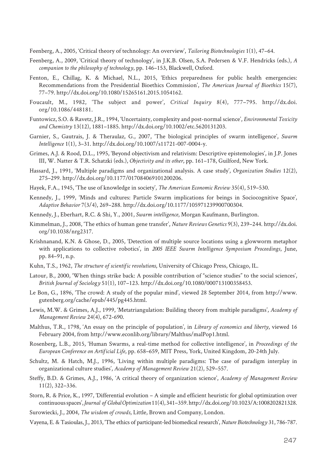Feenberg, A., 2005, 'Critical theory of technology: An overview', *Tailoring Biotechnologies* 1(1), 47–64.

- Feenberg, A., 2009, 'Critical theory of technology', in J.K.B. Olsen, S.A. Pedersen & V.F. Hendricks (eds.), *A companion to the philosophy of technology*, pp. 146–153, Blackwell, Oxford.
- Fenton, E., Chillag, K. & Michael, N.L., 2015, 'Ethics preparedness for public health emergencies: Recommendations from the Presidential Bioethics Commission', *The American Journal of Bioethics* 15(7), 77–79. http://dx.doi.org/10.1080/15265161.2015.1054162.
- Foucault, M., 1982, 'The subject and power', *Critical Inquiry* 8(4), 777–795. http://dx.doi. org/10.1086/448181.
- Funtowicz, S.O. & Ravetz, J.R., 1994, 'Uncertainty, complexity and post-normal science', *Environmental Toxicity and Chemistry* 13(12), 1881–1885. http://dx.doi.org/10.1002/etc.5620131203.
- Garnier, S., Gautrais, J. & Theraulaz, G., 2007, 'The biological principles of swarm intelligence', *Swarm Intelligence* 1(1), 3–31. http://dx.doi.org/10.1007/s11721-007-0004-y.
- Grimes, A.J. & Rood, D.L., 1995, 'Beyond objectivism and relativism: Descriptive epistemologies', in J.P. Jones III, W. Natter & T.R. Schatzki (eds.), *Objectivity and its other*, pp. 161–178, Guilford, New York.
- Hassard, J., 1991, 'Multiple paradigms and organizational analysis. A case study', *Organization Studies* 12(2), 275–299. http://dx.doi.org/10.1177/017084069101200206.
- Hayek, F.A., 1945, 'The use of knowledge in society', *The American Economic Review* 35(4), 519–530.
- Kennedy, J., 1999, 'Minds and cultures: Particle Swarm implications for beings in Sociocognitive Space', *Adaptive Behavior* 7(3/4), 269–288. http://dx.doi.org/10.1177/105971239900700304.
- Kennedy, J., Eberhart, R.C. & Shi, Y., 2001, *Swarm intelligence*, Morgan Kaufmann, Burlington.
- Kimmelman, J., 2008, 'The ethics of human gene transfer', *Nature Reviews Genetics* 9(3), 239–244. http://dx.doi. org/10.1038/nrg2317.
- Krishnanand, K.N. & Ghose, D., 2005, 'Detection of multiple source locations using a glowworm metaphor with applications to collective robotics', in *2005 IEEE Swarm Intelligence Symposium Proceedings*, June, pp. 84–91, n.p.
- Kuhn, T.S., 1962, *The structure of scientific revolutions*, University of Chicago Press, Chicago, IL.
- Latour, B., 2000, 'When things strike back: A possible contribution of "science studies" to the social sciences', *British Journal of Sociology* 51(1), 107–123. http://dx.doi.org/10.1080/000713100358453.
- Le Bon, G., 1896, 'The crowd: A study of the popular mind', viewed 28 September 2014, from http://www. gutenberg.org/cache/epub/445/pg445.html.
- Lewis, M.W. & Grimes, A.J., 1999, 'Metatriangulation: Building theory from multiple paradigms', *Academy of Management Review* 24(4), 672-690.
- Malthus, T.R., 1798, 'An essay on the principle of population', in *Library of economics and liberty*, viewed 16 February 2004, from http://www.econlib.org/library/Malthus/malPop1.html.
- Rosenberg, L.B., 2015, 'Human Swarms, a real-time method for collective intelligence', in *Proceedings of the European Conference on Artificial Life*, pp. 658–659, MIT Press, York, United Kingdom, 20-24th July.
- Schultz, M. & Hatch, M.J., 1996, 'Living within multiple paradigms: The case of paradigm interplay in organizational culture studies', *Academy of Management Review* 21(2), 529–557.
- Steffy, B.D. & Grimes, A.J., 1986, 'A critical theory of organization science', *Academy of Management Review* 11(2), 322–336.
- Storn, R. & Price, K., 1997, 'Differential evolution A simple and efficient heuristic for global optimization over continuous spaces', *Journal of Global Optimization* 11(4), 341–359. http://dx.doi.org/10.1023/A:1008202821328.
- Surowiecki, J., 2004, *The wisdom of crowds*, Little, Brown and Company, London.
- Vayena, E. & Tasioulas, J., 2013, 'The ethics of participant-led biomedical research', *Nature Biotechnology* 31, 786-787.